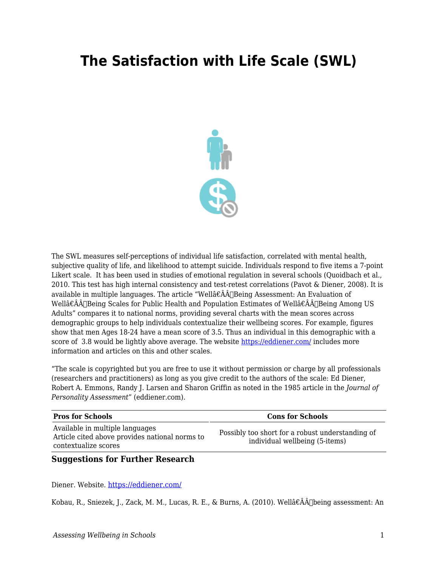## **The Satisfaction with Life Scale (SWL)**



The SWL measures self-perceptions of individual life satisfaction, correlated with mental health, subjective quality of life, and likelihood to attempt suicide. Individuals respond to five items a 7-point Likert scale. It has been used in studies of emotional regulation in several schools (Quoidbach et al., 2010. This test has high internal consistency and test-retest correlations (Pavot & Diener, 2008). It is available in multiple languages. The article "Wellâ $\epsilon \hat{A}$ A Being Assessment: An Evaluation of Wellâ€ÂÂ∏Being Scales for Public Health and Population Estimates of Wellâ€ÂÂ∏Being Among US Adults" compares it to national norms, providing several charts with the mean scores across demographic groups to help individuals contextualize their wellbeing scores. For example, figures show that men Ages 18-24 have a mean score of 3.5. Thus an individual in this demographic with a score of 3.8 would be lightly above average. The website<https://eddiener.com/> includes more information and articles on this and other scales.

"The scale is copyrighted but you are free to use it without permission or charge by all professionals (researchers and practitioners) as long as you give credit to the authors of the scale: Ed Diener, Robert A. Emmons, Randy J. Larsen and Sharon Griffin as noted in the 1985 article in the *Journal of Personality Assessment*" (eddiener.com).

| <b>Pros for Schools</b>                                                                                   | <b>Cons for Schools</b>                                                            |
|-----------------------------------------------------------------------------------------------------------|------------------------------------------------------------------------------------|
| Available in multiple languages<br>Article cited above provides national norms to<br>contextualize scores | Possibly too short for a robust understanding of<br>individual wellbeing (5-items) |

## **Suggestions for Further Research**

Diener. Website. <https://eddiener.com/>

Kobau, R., Sniezek, J., Zack, M. M., Lucas, R. E., & Burns, A. (2010). Wellâ€ÂÂ∏being assessment: An